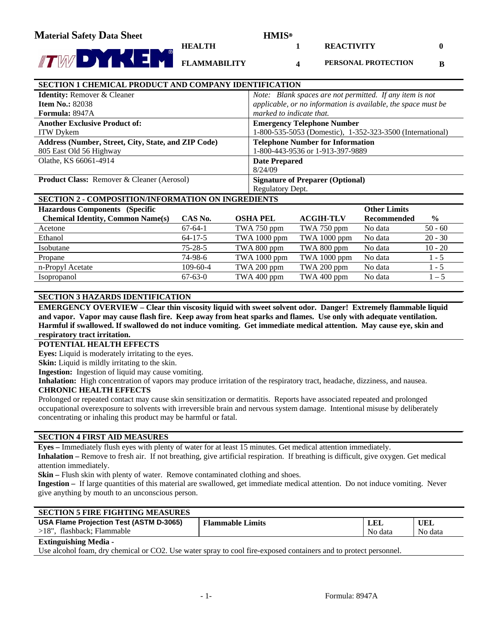| <b>SECTION 1 CHEMICAL PRODUCT AND COMPANY IDENTIFICATION</b> |                                                               |  |  |
|--------------------------------------------------------------|---------------------------------------------------------------|--|--|
| <b>Identity:</b> Remover & Cleaner                           | Note: Blank spaces are not permitted. If any item is not      |  |  |
| <b>Item No.: 82038</b>                                       | applicable, or no information is available, the space must be |  |  |
| <b>Formula: 8947A</b>                                        | marked to indicate that.                                      |  |  |
| <b>Another Exclusive Product of:</b>                         | <b>Emergency Telephone Number</b>                             |  |  |
| <b>ITW</b> Dykem                                             | 1-800-535-5053 (Domestic), 1-352-323-3500 (International)     |  |  |
| Address (Number, Street, City, State, and ZIP Code)          | <b>Telephone Number for Information</b>                       |  |  |
| 805 East Old 56 Highway                                      | 1-800-443-9536 or 1-913-397-9889                              |  |  |
| Olathe, KS 66061-4914                                        | <b>Date Prepared</b>                                          |  |  |
|                                                              | 8/24/09                                                       |  |  |
| <b>Product Class:</b> Remover & Cleaner (Aerosol)            | <b>Signature of Preparer (Optional)</b>                       |  |  |
|                                                              | Regulatory Dept.                                              |  |  |
| COMPOSITION/INFORMATION ON INCREDIBNE                        |                                                               |  |  |

#### **SECTION 2 - COMPOSITION/INFORMATION ON INGREDIENTS**

| <b>Hazardous Components (Specific)</b>   |               |                 |                     | <b>Other Limits</b> |               |
|------------------------------------------|---------------|-----------------|---------------------|---------------------|---------------|
| <b>Chemical Identity, Common Name(s)</b> | CAS No.       | <b>OSHA PEL</b> | <b>ACGIH-TLV</b>    | Recommended         | $\frac{0}{0}$ |
| Acetone                                  | $67-64-1$     | TWA 750 ppm     | TWA 750 ppm         | No data             | $50 - 60$     |
| Ethanol                                  | $64 - 17 - 5$ | TWA 1000 ppm    | <b>TWA 1000 ppm</b> | No data             | $20 - 30$     |
| Isobutane                                | $75 - 28 - 5$ | TWA 800 ppm     | TWA 800 ppm         | No data             | $10 - 20$     |
| Propane                                  | 74-98-6       | TWA 1000 ppm    | TWA 1000 ppm        | No data             | $1 - 5$       |
| n-Propyl Acetate                         | $109-60-4$    | TWA 200 ppm     | TWA 200 ppm         | No data             | $1 - 5$       |
| Isopropanol                              | $67-63-0$     | TWA 400 ppm     | TWA 400 ppm         | No data             | $1 - 5$       |

# **SECTION 3 HAZARDS IDENTIFICATION**

**EMERGENCY OVERVIEW – Clear thin viscosity liquid with sweet solvent odor. Danger! Extremely flammable liquid and vapor. Vapor may cause flash fire. Keep away from heat sparks and flames. Use only with adequate ventilation. Harmful if swallowed. If swallowed do not induce vomiting. Get immediate medical attention. May cause eye, skin and respiratory tract irritation.** 

#### **POTENTIAL HEALTH EFFECTS**

**Eyes:** Liquid is moderately irritating to the eyes.

**Skin:** Liquid is mildly irritating to the skin.

**Ingestion:** Ingestion of liquid may cause vomiting.

**Inhalation:** High concentration of vapors may produce irritation of the respiratory tract, headache, dizziness, and nausea.

#### **CHRONIC HEALTH EFFECTS**

Prolonged or repeated contact may cause skin sensitization or dermatitis. Reports have associated repeated and prolonged occupational overexposure to solvents with irreversible brain and nervous system damage. Intentional misuse by deliberately concentrating or inhaling this product may be harmful or fatal.

# **SECTION 4 FIRST AID MEASURES**

**Eyes –** Immediately flush eyes with plenty of water for at least 15 minutes. Get medical attention immediately.

**Inhalation –** Remove to fresh air. If not breathing, give artificial respiration. If breathing is difficult, give oxygen. Get medical attention immediately.

**Skin** – Flush skin with plenty of water. Remove contaminated clothing and shoes.

**Ingestion –** If large quantities of this material are swallowed, get immediate medical attention. Do not induce vomiting. Never give anything by mouth to an unconscious person.

| <b>SECTION 5 FIRE FIGHTING MEASURES</b> |                         |         |         |  |  |
|-----------------------------------------|-------------------------|---------|---------|--|--|
| USA Flame Projection Test (ASTM D-3065) | <b>Flammable Limits</b> | LEL     | UEL     |  |  |
| $>18$ ". flashback: Flammable           |                         | No data | No data |  |  |
| <b>Extinguishing Media -</b>            |                         |         |         |  |  |
|                                         |                         |         |         |  |  |

Use alcohol foam, dry chemical or CO2. Use water spray to cool fire-exposed containers and to protect personnel.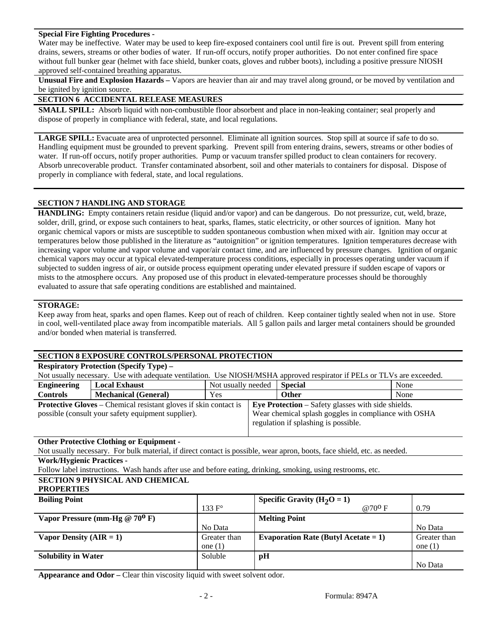#### **Special Fire Fighting Procedures -**

Water may be ineffective. Water may be used to keep fire-exposed containers cool until fire is out. Prevent spill from entering drains, sewers, streams or other bodies of water. If run-off occurs, notify proper authorities. Do not enter confined fire space without full bunker gear (helmet with face shield, bunker coats, gloves and rubber boots), including a positive pressure NIOSH approved self-contained breathing apparatus.

**Unusual Fire and Explosion Hazards –** Vapors are heavier than air and may travel along ground, or be moved by ventilation and be ignited by ignition source.

#### **SECTION 6 ACCIDENTAL RELEASE MEASURES**

**SMALL SPILL:** Absorb liquid with non-combustible floor absorbent and place in non-leaking container; seal properly and dispose of properly in compliance with federal, state, and local regulations.

**LARGE SPILL:** Evacuate area of unprotected personnel. Eliminate all ignition sources. Stop spill at source if safe to do so. Handling equipment must be grounded to prevent sparking. Prevent spill from entering drains, sewers, streams or other bodies of water. If run-off occurs, notify proper authorities. Pump or vacuum transfer spilled product to clean containers for recovery. Absorb unrecoverable product. Transfer contaminated absorbent, soil and other materials to containers for disposal. Dispose of properly in compliance with federal, state, and local regulations.

## **SECTION 7 HANDLING AND STORAGE**

**HANDLING:** Empty containers retain residue (liquid and/or vapor) and can be dangerous. Do not pressurize, cut, weld, braze, solder, drill, grind, or expose such containers to heat, sparks, flames, static electricity, or other sources of ignition. Many hot organic chemical vapors or mists are susceptible to sudden spontaneous combustion when mixed with air. Ignition may occur at temperatures below those published in the literature as "autoignition" or ignition temperatures. Ignition temperatures decrease with increasing vapor volume and vapor volume and vapor/air contact time, and are influenced by pressure changes. Ignition of organic chemical vapors may occur at typical elevated-temperature process conditions, especially in processes operating under vacuum if subjected to sudden ingress of air, or outside process equipment operating under elevated pressure if sudden escape of vapors or mists to the atmosphere occurs. Any proposed use of this product in elevated-temperature processes should be thoroughly evaluated to assure that safe operating conditions are established and maintained.

## **STORAGE:**

Keep away from heat, sparks and open flames. Keep out of reach of children. Keep container tightly sealed when not in use. Store in cool, well-ventilated place away from incompatible materials. All 5 gallon pails and larger metal containers should be grounded and/or bonded when material is transferred.

# **SECTION 8 EXPOSURE CONTROLS/PERSONAL PROTECTION**

## **Respiratory Protection (Specify Type) –**

| Not usually necessary. Use with adequate ventilation. Use NIOSH/MSHA approved respirator if PELs or TLVs are exceeded.        |                             |                    |                                                                                                                                                           |      |  |
|-------------------------------------------------------------------------------------------------------------------------------|-----------------------------|--------------------|-----------------------------------------------------------------------------------------------------------------------------------------------------------|------|--|
| <b>Engineering</b>                                                                                                            | <b>Local Exhaust</b>        | Not usually needed | <b>Special</b>                                                                                                                                            | None |  |
| <b>Controls</b>                                                                                                               | <b>Mechanical (General)</b> | <b>Yes</b>         | <b>Other</b>                                                                                                                                              | None |  |
| <b>Protective Gloves – Chemical resistant gloves if skin contact is</b><br>possible (consult your safety equipment supplier). |                             |                    | <b>Eye Protection</b> – Safety glasses with side shields.<br>Wear chemical splash goggles in compliance with OSHA<br>regulation if splashing is possible. |      |  |

#### **Other Protective Clothing or Equipment -**

Not usually necessary. For bulk material, if direct contact is possible, wear apron, boots, face shield, etc. as needed.

# **Work/Hygienic Practices -**

Follow label instructions. Wash hands after use and before eating, drinking, smoking, using restrooms, etc.

# **SECTION 9 PHYSICAL AND CHEMICAL**

# **PROPERTIES**

| <b>Boiling Point</b>               |                    | Specific Gravity $(H2O = 1)$            |              |
|------------------------------------|--------------------|-----------------------------------------|--------------|
|                                    | 133 F <sup>o</sup> | @70 <sup>0</sup> F                      | 0.79         |
| Vapor Pressure (mm-Hg $@ 70^0 F$ ) |                    | <b>Melting Point</b>                    |              |
|                                    | No Data            |                                         | No Data      |
| Vapor Density $(AIR = 1)$          | Greater than       | Evaporation Rate (Butyl Acetate = $1$ ) | Greater than |
|                                    | one $(1)$          |                                         | one $(1)$    |
| <b>Solubility in Water</b>         | Soluble            | pH                                      |              |
|                                    |                    |                                         | No Data      |

**Appearance and Odor –** Clear thin viscosity liquid with sweet solvent odor.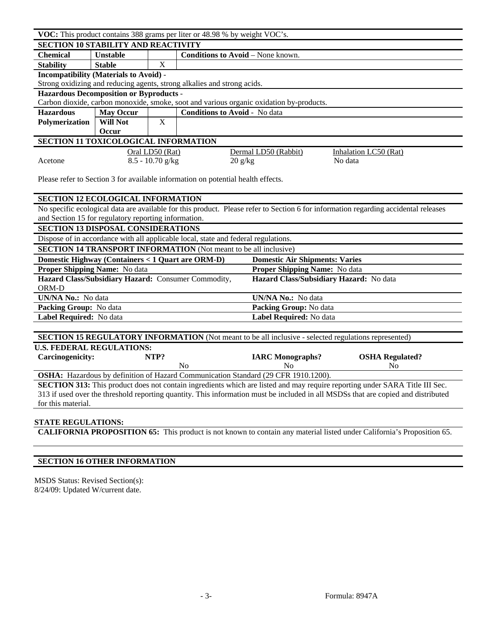| VOC: This product contains 388 grams per liter or 48.98 % by weight VOC's.                                                                                                                                                                                       |                  |                                          |                                                                                    |                                                                                         |                                                                                                                                     |
|------------------------------------------------------------------------------------------------------------------------------------------------------------------------------------------------------------------------------------------------------------------|------------------|------------------------------------------|------------------------------------------------------------------------------------|-----------------------------------------------------------------------------------------|-------------------------------------------------------------------------------------------------------------------------------------|
| <b>SECTION 10 STABILITY AND REACTIVITY</b>                                                                                                                                                                                                                       |                  |                                          |                                                                                    |                                                                                         |                                                                                                                                     |
| <b>Chemical</b>                                                                                                                                                                                                                                                  | <b>Unstable</b>  | <b>Conditions to Avoid - None known.</b> |                                                                                    |                                                                                         |                                                                                                                                     |
| <b>Stability</b>                                                                                                                                                                                                                                                 | <b>Stable</b>    | $\mathbf X$                              |                                                                                    |                                                                                         |                                                                                                                                     |
| <b>Incompatibility (Materials to Avoid) -</b>                                                                                                                                                                                                                    |                  |                                          |                                                                                    |                                                                                         |                                                                                                                                     |
|                                                                                                                                                                                                                                                                  |                  |                                          | Strong oxidizing and reducing agents, strong alkalies and strong acids.            |                                                                                         |                                                                                                                                     |
| <b>Hazardous Decomposition or Byproducts -</b>                                                                                                                                                                                                                   |                  |                                          |                                                                                    |                                                                                         |                                                                                                                                     |
|                                                                                                                                                                                                                                                                  |                  |                                          |                                                                                    | Carbon dioxide, carbon monoxide, smoke, soot and various organic oxidation by-products. |                                                                                                                                     |
| <b>Hazardous</b>                                                                                                                                                                                                                                                 | <b>May Occur</b> |                                          | <b>Conditions to Avoid - No data</b>                                               |                                                                                         |                                                                                                                                     |
| Polymerization                                                                                                                                                                                                                                                   | <b>Will Not</b>  | $\mathbf X$                              |                                                                                    |                                                                                         |                                                                                                                                     |
|                                                                                                                                                                                                                                                                  | Occur            |                                          |                                                                                    |                                                                                         |                                                                                                                                     |
| SECTION 11 TOXICOLOGICAL INFORMATION                                                                                                                                                                                                                             |                  |                                          |                                                                                    |                                                                                         |                                                                                                                                     |
|                                                                                                                                                                                                                                                                  |                  | Oral LD50 (Rat)                          |                                                                                    | Dermal LD50 (Rabbit)                                                                    | Inhalation LC50 (Rat)                                                                                                               |
| Acetone                                                                                                                                                                                                                                                          |                  | $8.5 - 10.70$ g/kg                       | 20 g/kg                                                                            |                                                                                         | No data                                                                                                                             |
|                                                                                                                                                                                                                                                                  |                  |                                          |                                                                                    |                                                                                         |                                                                                                                                     |
|                                                                                                                                                                                                                                                                  |                  |                                          | Please refer to Section 3 for available information on potential health effects.   |                                                                                         |                                                                                                                                     |
|                                                                                                                                                                                                                                                                  |                  |                                          |                                                                                    |                                                                                         |                                                                                                                                     |
| <b>SECTION 12 ECOLOGICAL INFORMATION</b>                                                                                                                                                                                                                         |                  |                                          |                                                                                    |                                                                                         |                                                                                                                                     |
|                                                                                                                                                                                                                                                                  |                  |                                          |                                                                                    |                                                                                         | No specific ecological data are available for this product. Please refer to Section 6 for information regarding accidental releases |
| and Section 15 for regulatory reporting information.                                                                                                                                                                                                             |                  |                                          |                                                                                    |                                                                                         |                                                                                                                                     |
| <b>SECTION 13 DISPOSAL CONSIDERATIONS</b>                                                                                                                                                                                                                        |                  |                                          |                                                                                    |                                                                                         |                                                                                                                                     |
|                                                                                                                                                                                                                                                                  |                  |                                          | Dispose of in accordance with all applicable local, state and federal regulations. |                                                                                         |                                                                                                                                     |
|                                                                                                                                                                                                                                                                  |                  |                                          | <b>SECTION 14 TRANSPORT INFORMATION</b> (Not meant to be all inclusive)            |                                                                                         |                                                                                                                                     |
| Domestic Highway (Containers < 1 Quart are ORM-D)                                                                                                                                                                                                                |                  |                                          |                                                                                    | <b>Domestic Air Shipments: Varies</b>                                                   |                                                                                                                                     |
| Proper Shipping Name: No data                                                                                                                                                                                                                                    |                  |                                          |                                                                                    | Proper Shipping Name: No data                                                           |                                                                                                                                     |
| ORM-D                                                                                                                                                                                                                                                            |                  |                                          | Hazard Class/Subsidiary Hazard: Consumer Commodity,                                | Hazard Class/Subsidiary Hazard: No data                                                 |                                                                                                                                     |
| UN/NA No.: No data                                                                                                                                                                                                                                               |                  |                                          |                                                                                    | UN/NA No.: No data                                                                      |                                                                                                                                     |
| Packing Group: No data                                                                                                                                                                                                                                           |                  |                                          |                                                                                    | Packing Group: No data                                                                  |                                                                                                                                     |
| Label Required: No data                                                                                                                                                                                                                                          |                  |                                          |                                                                                    | Label Required: No data                                                                 |                                                                                                                                     |
|                                                                                                                                                                                                                                                                  |                  |                                          |                                                                                    |                                                                                         |                                                                                                                                     |
| <b>SECTION 15 REGULATORY INFORMATION</b> (Not meant to be all inclusive - selected regulations represented)                                                                                                                                                      |                  |                                          |                                                                                    |                                                                                         |                                                                                                                                     |
| <b>U.S. FEDERAL REGULATIONS:</b>                                                                                                                                                                                                                                 |                  |                                          |                                                                                    |                                                                                         |                                                                                                                                     |
| <b>Carcinogenicity:</b>                                                                                                                                                                                                                                          |                  | NTP?                                     |                                                                                    | <b>IARC Monographs?</b>                                                                 | <b>OSHA Regulated?</b>                                                                                                              |
|                                                                                                                                                                                                                                                                  |                  |                                          | N <sub>0</sub>                                                                     | No                                                                                      | No                                                                                                                                  |
| OSHA: Hazardous by definition of Hazard Communication Standard (29 CFR 1910.1200).                                                                                                                                                                               |                  |                                          |                                                                                    |                                                                                         |                                                                                                                                     |
| SECTION 313: This product does not contain ingredients which are listed and may require reporting under SARA Title III Sec.<br>313 if used over the threshold reporting quantity. This information must be included in all MSDSs that are copied and distributed |                  |                                          |                                                                                    |                                                                                         |                                                                                                                                     |
|                                                                                                                                                                                                                                                                  |                  |                                          |                                                                                    |                                                                                         |                                                                                                                                     |
| for this material.                                                                                                                                                                                                                                               |                  |                                          |                                                                                    |                                                                                         |                                                                                                                                     |
|                                                                                                                                                                                                                                                                  |                  |                                          |                                                                                    |                                                                                         |                                                                                                                                     |
| <b>STATE REGULATIONS:</b><br><b>CALIFORNIA PROPOSITION 65:</b> This product is not known to contain any material listed under California's Proposition 65.                                                                                                       |                  |                                          |                                                                                    |                                                                                         |                                                                                                                                     |
|                                                                                                                                                                                                                                                                  |                  |                                          |                                                                                    |                                                                                         |                                                                                                                                     |

# **SECTION 16 OTHER INFORMATION**

MSDS Status: Revised Section(s): 8/24/09: Updated W/current date.